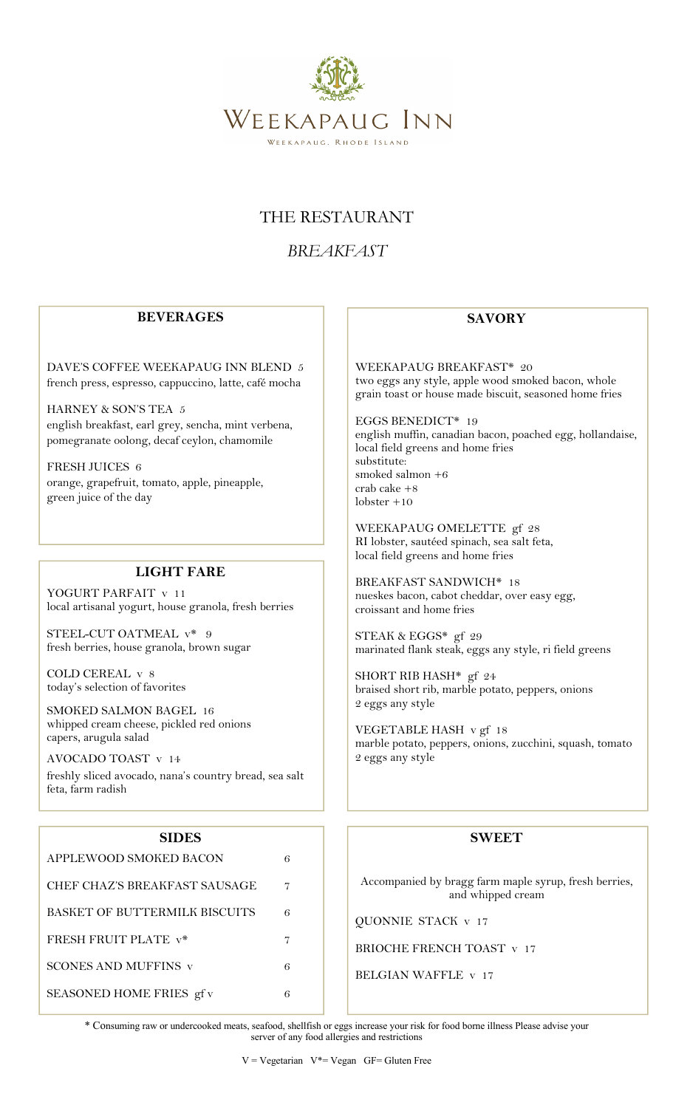

### THE RESTAURANT

## *BREAKFAST*

#### **BEVERAGES**

DAVE'S COFFEE WEEKAPAUG INN BLEND 5 french press, espresso, cappuccino, latte, café mocha

HARNEY & SON'S TEA 5 english breakfast, earl grey, sencha, mint verbena, pomegranate oolong, decaf ceylon, chamomile

FRESH JUICES 6 orange, grapefruit, tomato, apple, pineapple, green juice of the day

#### **LIGHT FARE**

YOGURT PARFAIT v 11 local artisanal yogurt, house granola, fresh berries

STEEL-CUT OATMEAL  $v^*$  9 fresh berries, house granola, brown sugar

COLD CEREAL v 8 today's selection of favorites

SMOKED SALMON BAGEL 16 whipped cream cheese, pickled red onions capers, arugula salad

AVOCADO TOAST v 14

freshly sliced avocado, nana's country bread, sea salt feta, farm radish

#### **SIDES**

| APPLEWOOD SMOKED BACON        | 6 |
|-------------------------------|---|
| CHEF CHAZ'S BREAKFAST SAUSAGE | 7 |
| BASKET OF BUTTERMILK BISCUITS | 6 |
| <b>FRESH FRUIT PLATE v*</b>   |   |
| <b>SCONES AND MUFFINS v</b>   | 6 |
| SEASONED HOME FRIES gf v      | 6 |

#### **SAVORY**

WEEKAPAUG BREAKFAST\* 20 two eggs any style, apple wood smoked bacon, whole grain toast or house made biscuit, seasoned home fries

EGGS BENEDICT\* 19 english muffin, canadian bacon, poached egg, hollandaise, local field greens and home fries substitute: smoked salmon +6 crab cake +8 lobster +10

WEEKAPAUG OMELETTE gf 28 RI lobster, sautéed spinach, sea salt feta, local field greens and home fries

BREAKFAST SANDWICH\* 18 nueskes bacon, cabot cheddar, over easy egg, croissant and home fries

STEAK & EGGS\* gf 29 marinated flank steak, eggs any style, ri field greens

SHORT RIB HASH\* gf 24 braised short rib, marble potato, peppers, onions 2 eggs any style

VEGETABLE HASH v gf 18 marble potato, peppers, onions, zucchini, squash, tomato 2 eggs any style

#### **SWEET**

Accompanied by bragg farm maple syrup, fresh berries, and whipped cream

QUONNIE STACK v 17

BRIOCHE FRENCH TOAST v 17

BELGIAN WAFFLE v 17

\* Consuming raw or undercooked meats, seafood, shellfish or eggs increase your risk for food borne illness Please advise your server of any food allergies and restrictions